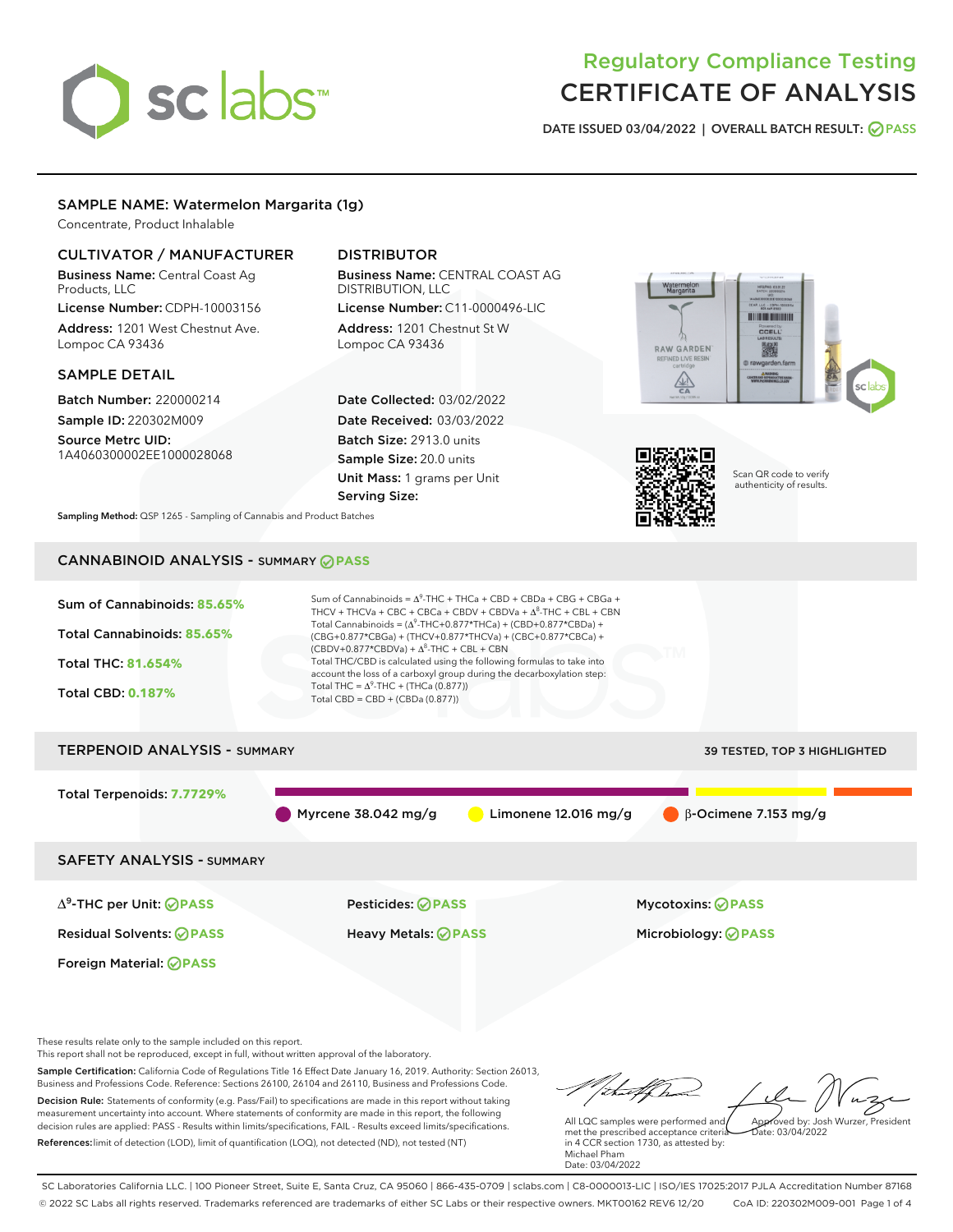# sclabs<sup>\*</sup>

# Regulatory Compliance Testing CERTIFICATE OF ANALYSIS

DATE ISSUED 03/04/2022 | OVERALL BATCH RESULT: @ PASS

# SAMPLE NAME: Watermelon Margarita (1g)

Concentrate, Product Inhalable

# CULTIVATOR / MANUFACTURER

Business Name: Central Coast Ag Products, LLC

License Number: CDPH-10003156 Address: 1201 West Chestnut Ave. Lompoc CA 93436

#### SAMPLE DETAIL

Batch Number: 220000214 Sample ID: 220302M009

Source Metrc UID: 1A4060300002EE1000028068

# DISTRIBUTOR

Business Name: CENTRAL COAST AG DISTRIBUTION, LLC License Number: C11-0000496-LIC

Address: 1201 Chestnut St W Lompoc CA 93436

Date Collected: 03/02/2022 Date Received: 03/03/2022 Batch Size: 2913.0 units Sample Size: 20.0 units Unit Mass: 1 grams per Unit Serving Size:





Scan QR code to verify authenticity of results.

Sampling Method: QSP 1265 - Sampling of Cannabis and Product Batches

# CANNABINOID ANALYSIS - SUMMARY **PASS**



This report shall not be reproduced, except in full, without written approval of the laboratory.

Sample Certification: California Code of Regulations Title 16 Effect Date January 16, 2019. Authority: Section 26013, Business and Professions Code. Reference: Sections 26100, 26104 and 26110, Business and Professions Code. Decision Rule: Statements of conformity (e.g. Pass/Fail) to specifications are made in this report without taking measurement uncertainty into account. Where statements of conformity are made in this report, the following decision rules are applied: PASS - Results within limits/specifications, FAIL - Results exceed limits/specifications.

References:limit of detection (LOD), limit of quantification (LOQ), not detected (ND), not tested (NT)

that forma Approved by: Josh Wurzer, President

 $ate: 03/04/2022$ 

All LQC samples were performed and met the prescribed acceptance criteria in 4 CCR section 1730, as attested by: Michael Pham Date: 03/04/2022

SC Laboratories California LLC. | 100 Pioneer Street, Suite E, Santa Cruz, CA 95060 | 866-435-0709 | sclabs.com | C8-0000013-LIC | ISO/IES 17025:2017 PJLA Accreditation Number 87168 © 2022 SC Labs all rights reserved. Trademarks referenced are trademarks of either SC Labs or their respective owners. MKT00162 REV6 12/20 CoA ID: 220302M009-001 Page 1 of 4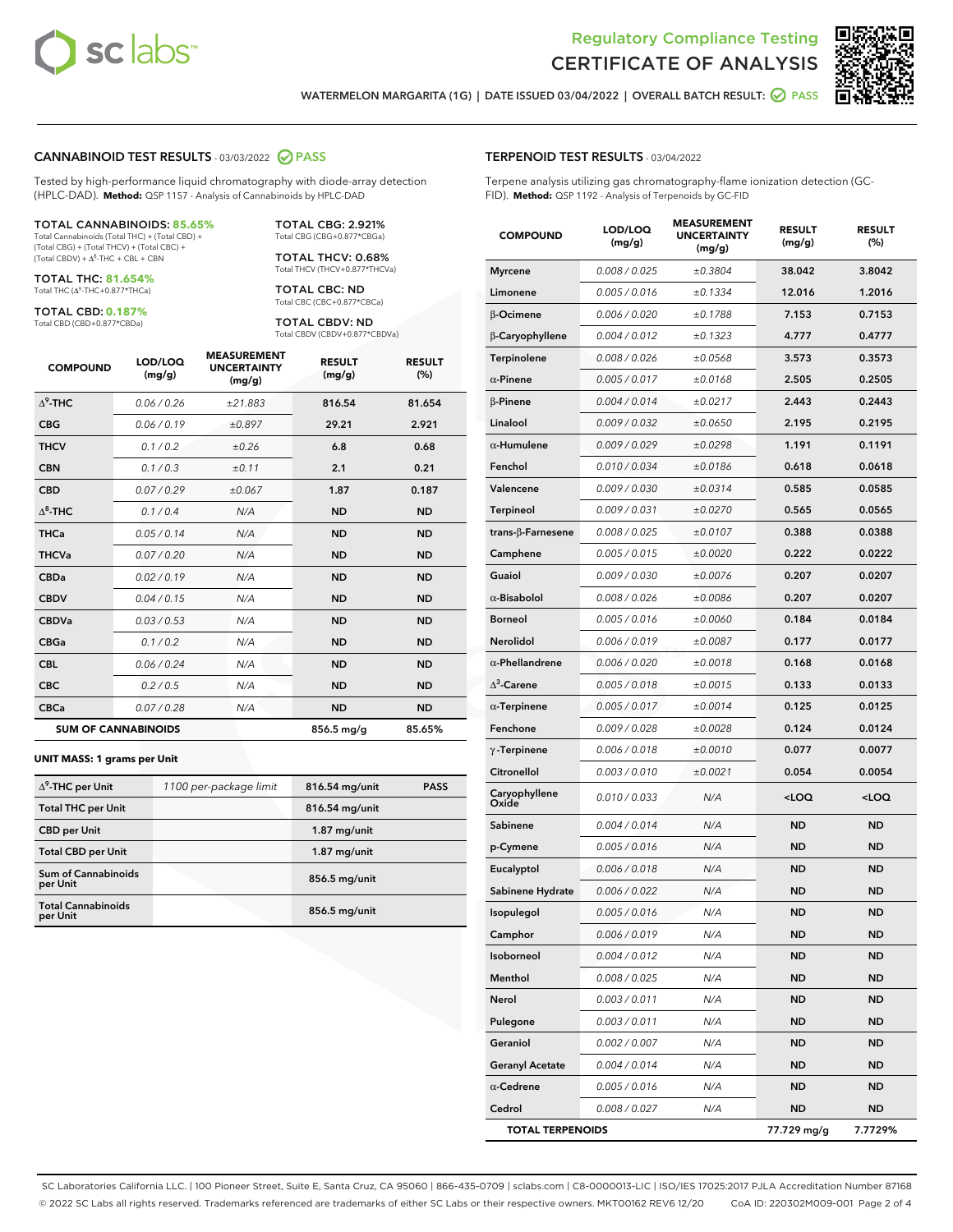



WATERMELON MARGARITA (1G) | DATE ISSUED 03/04/2022 | OVERALL BATCH RESULT: @ PASS

#### CANNABINOID TEST RESULTS - 03/03/2022 2 PASS

Tested by high-performance liquid chromatography with diode-array detection (HPLC-DAD). **Method:** QSP 1157 - Analysis of Cannabinoids by HPLC-DAD

#### TOTAL CANNABINOIDS: **85.65%**

Total Cannabinoids (Total THC) + (Total CBD) + (Total CBG) + (Total THCV) + (Total CBC) +  $(Total CBDV) +  $\Delta^8$ -THC + CBL + CBN$ 

TOTAL THC: **81.654%** Total THC (Δ<sup>9</sup>-THC+0.877\*THCa)

TOTAL CBD: **0.187%**

Total CBD (CBD+0.877\*CBDa)

TOTAL CBG: 2.921% Total CBG (CBG+0.877\*CBGa)

TOTAL THCV: 0.68% Total THCV (THCV+0.877\*THCVa)

TOTAL CBC: ND Total CBC (CBC+0.877\*CBCa)

TOTAL CBDV: ND Total CBDV (CBDV+0.877\*CBDVa)

| <b>COMPOUND</b>  | LOD/LOQ<br>(mg/g)          | <b>MEASUREMENT</b><br><b>UNCERTAINTY</b><br>(mg/g) | <b>RESULT</b><br>(mg/g) | <b>RESULT</b><br>(%) |
|------------------|----------------------------|----------------------------------------------------|-------------------------|----------------------|
| $\Lambda^9$ -THC | 0.06/0.26                  | ±21.883                                            | 816.54                  | 81.654               |
| <b>CBG</b>       | 0.06/0.19                  | ±0.897                                             | 29.21                   | 2.921                |
| <b>THCV</b>      | 0.1/0.2                    | ±0.26                                              | 6.8                     | 0.68                 |
| <b>CBN</b>       | 0.1/0.3                    | ±0.11                                              | 2.1                     | 0.21                 |
| <b>CBD</b>       | 0.07/0.29                  | ±0.067                                             | 1.87                    | 0.187                |
| $\Delta^8$ -THC  | 0.1 / 0.4                  | N/A                                                | <b>ND</b>               | <b>ND</b>            |
| <b>THCa</b>      | 0.05/0.14                  | N/A                                                | <b>ND</b>               | <b>ND</b>            |
| <b>THCVa</b>     | 0.07 / 0.20                | N/A                                                | <b>ND</b>               | <b>ND</b>            |
| <b>CBDa</b>      | 0.02/0.19                  | N/A                                                | <b>ND</b>               | <b>ND</b>            |
| <b>CBDV</b>      | 0.04 / 0.15                | N/A                                                | <b>ND</b>               | <b>ND</b>            |
| <b>CBDVa</b>     | 0.03/0.53                  | N/A                                                | <b>ND</b>               | <b>ND</b>            |
| <b>CBGa</b>      | 0.1/0.2                    | N/A                                                | <b>ND</b>               | <b>ND</b>            |
| <b>CBL</b>       | 0.06 / 0.24                | N/A                                                | <b>ND</b>               | <b>ND</b>            |
| <b>CBC</b>       | 0.2 / 0.5                  | N/A                                                | <b>ND</b>               | <b>ND</b>            |
| <b>CBCa</b>      | 0.07/0.28                  | N/A                                                | <b>ND</b>               | <b>ND</b>            |
|                  | <b>SUM OF CANNABINOIDS</b> |                                                    | 856.5 mg/g              | 85.65%               |

#### **UNIT MASS: 1 grams per Unit**

| $\Delta^9$ -THC per Unit               | 1100 per-package limit | 816.54 mg/unit  | <b>PASS</b> |
|----------------------------------------|------------------------|-----------------|-------------|
| <b>Total THC per Unit</b>              |                        | 816.54 mg/unit  |             |
| <b>CBD per Unit</b>                    |                        | $1.87$ mg/unit  |             |
| <b>Total CBD per Unit</b>              |                        | $1.87$ mg/unit  |             |
| <b>Sum of Cannabinoids</b><br>per Unit |                        | 856.5 mg/unit   |             |
| <b>Total Cannabinoids</b><br>per Unit  |                        | $856.5$ mg/unit |             |

#### TERPENOID TEST RESULTS - 03/04/2022

Terpene analysis utilizing gas chromatography-flame ionization detection (GC-FID). **Method:** QSP 1192 - Analysis of Terpenoids by GC-FID

| <b>COMPOUND</b>           | LOD/LOQ<br>(mg/g) | <b>MEASUREMENT</b><br><b>UNCERTAINTY</b><br>(mg/g) | <b>RESULT</b><br>(mg/g)                         | <b>RESULT</b><br>(%) |
|---------------------------|-------------------|----------------------------------------------------|-------------------------------------------------|----------------------|
| <b>Myrcene</b>            | 0.008 / 0.025     | ±0.3804                                            | 38.042                                          | 3.8042               |
| Limonene                  | 0.005 / 0.016     | ±0.1334                                            | 12.016                                          | 1.2016               |
| β-Ocimene                 | 0.006 / 0.020     | ±0.1788                                            | 7.153                                           | 0.7153               |
| β-Caryophyllene           | 0.004 / 0.012     | ±0.1323                                            | 4.777                                           | 0.4777               |
| Terpinolene               | 0.008 / 0.026     | ±0.0568                                            | 3.573                                           | 0.3573               |
| $\alpha$ -Pinene          | 0.005 / 0.017     | ±0.0168                                            | 2.505                                           | 0.2505               |
| $\beta$ -Pinene           | 0.004 / 0.014     | ±0.0217                                            | 2.443                                           | 0.2443               |
| Linalool                  | 0.009 / 0.032     | ±0.0650                                            | 2.195                                           | 0.2195               |
| $\alpha$ -Humulene        | 0.009/0.029       | ±0.0298                                            | 1.191                                           | 0.1191               |
| Fenchol                   | 0.010 / 0.034     | ±0.0186                                            | 0.618                                           | 0.0618               |
| Valencene                 | 0.009 / 0.030     | ±0.0314                                            | 0.585                                           | 0.0585               |
| Terpineol                 | 0.009 / 0.031     | ±0.0270                                            | 0.565                                           | 0.0565               |
| trans- $\beta$ -Farnesene | 0.008 / 0.025     | ±0.0107                                            | 0.388                                           | 0.0388               |
| Camphene                  | 0.005 / 0.015     | ±0.0020                                            | 0.222                                           | 0.0222               |
| Guaiol                    | 0.009 / 0.030     | ±0.0076                                            | 0.207                                           | 0.0207               |
| $\alpha$ -Bisabolol       | 0.008 / 0.026     | ±0.0086                                            | 0.207                                           | 0.0207               |
| <b>Borneol</b>            | 0.005 / 0.016     | ±0.0060                                            | 0.184                                           | 0.0184               |
| <b>Nerolidol</b>          | 0.006 / 0.019     | ±0.0087                                            | 0.177                                           | 0.0177               |
| $\alpha$ -Phellandrene    | 0.006 / 0.020     | ±0.0018                                            | 0.168                                           | 0.0168               |
| $\Delta^3$ -Carene        | 0.005 / 0.018     | ±0.0015                                            | 0.133                                           | 0.0133               |
| $\alpha$ -Terpinene       | 0.005 / 0.017     | ±0.0014                                            | 0.125                                           | 0.0125               |
| Fenchone                  | 0.009 / 0.028     | ±0.0028                                            | 0.124                                           | 0.0124               |
| $\gamma$ -Terpinene       | 0.006 / 0.018     | ±0.0010                                            | 0.077                                           | 0.0077               |
| Citronellol               | 0.003 / 0.010     | ±0.0021                                            | 0.054                                           | 0.0054               |
| Caryophyllene<br>Oxide    | 0.010 / 0.033     | N/A                                                | <loq< th=""><th><loq< th=""></loq<></th></loq<> | <loq< th=""></loq<>  |
| Sabinene                  | 0.004 / 0.014     | N/A                                                | <b>ND</b>                                       | <b>ND</b>            |
| p-Cymene                  | 0.005 / 0.016     | N/A                                                | <b>ND</b>                                       | <b>ND</b>            |
| Eucalyptol                | 0.006 / 0.018     | N/A                                                | ND                                              | <b>ND</b>            |
| Sabinene Hydrate          | 0.006 / 0.022     | N/A                                                | <b>ND</b>                                       | ND                   |
| Isopulegol                | 0.005 / 0.016     | N/A                                                | <b>ND</b>                                       | <b>ND</b>            |
| Camphor                   | 0.006 / 0.019     | N/A                                                | ND                                              | ND                   |
| Isoborneol                | 0.004 / 0.012     | N/A                                                | <b>ND</b>                                       | <b>ND</b>            |
| Menthol                   | 0.008 / 0.025     | N/A                                                | <b>ND</b>                                       | <b>ND</b>            |
| Nerol                     | 0.003 / 0.011     | N/A                                                | ND                                              | ND                   |
| Pulegone                  | 0.003 / 0.011     | N/A                                                | ND                                              | ND                   |
| Geraniol                  | 0.002 / 0.007     | N/A                                                | <b>ND</b>                                       | <b>ND</b>            |
| <b>Geranyl Acetate</b>    | 0.004 / 0.014     | N/A                                                | ND                                              | ND                   |
| $\alpha$ -Cedrene         | 0.005 / 0.016     | N/A                                                | <b>ND</b>                                       | ND                   |
| Cedrol                    | 0.008 / 0.027     | N/A                                                | <b>ND</b>                                       | ND                   |
| <b>TOTAL TERPENOIDS</b>   |                   |                                                    | 77.729 mg/g                                     | 7.7729%              |

SC Laboratories California LLC. | 100 Pioneer Street, Suite E, Santa Cruz, CA 95060 | 866-435-0709 | sclabs.com | C8-0000013-LIC | ISO/IES 17025:2017 PJLA Accreditation Number 87168 © 2022 SC Labs all rights reserved. Trademarks referenced are trademarks of either SC Labs or their respective owners. MKT00162 REV6 12/20 CoA ID: 220302M009-001 Page 2 of 4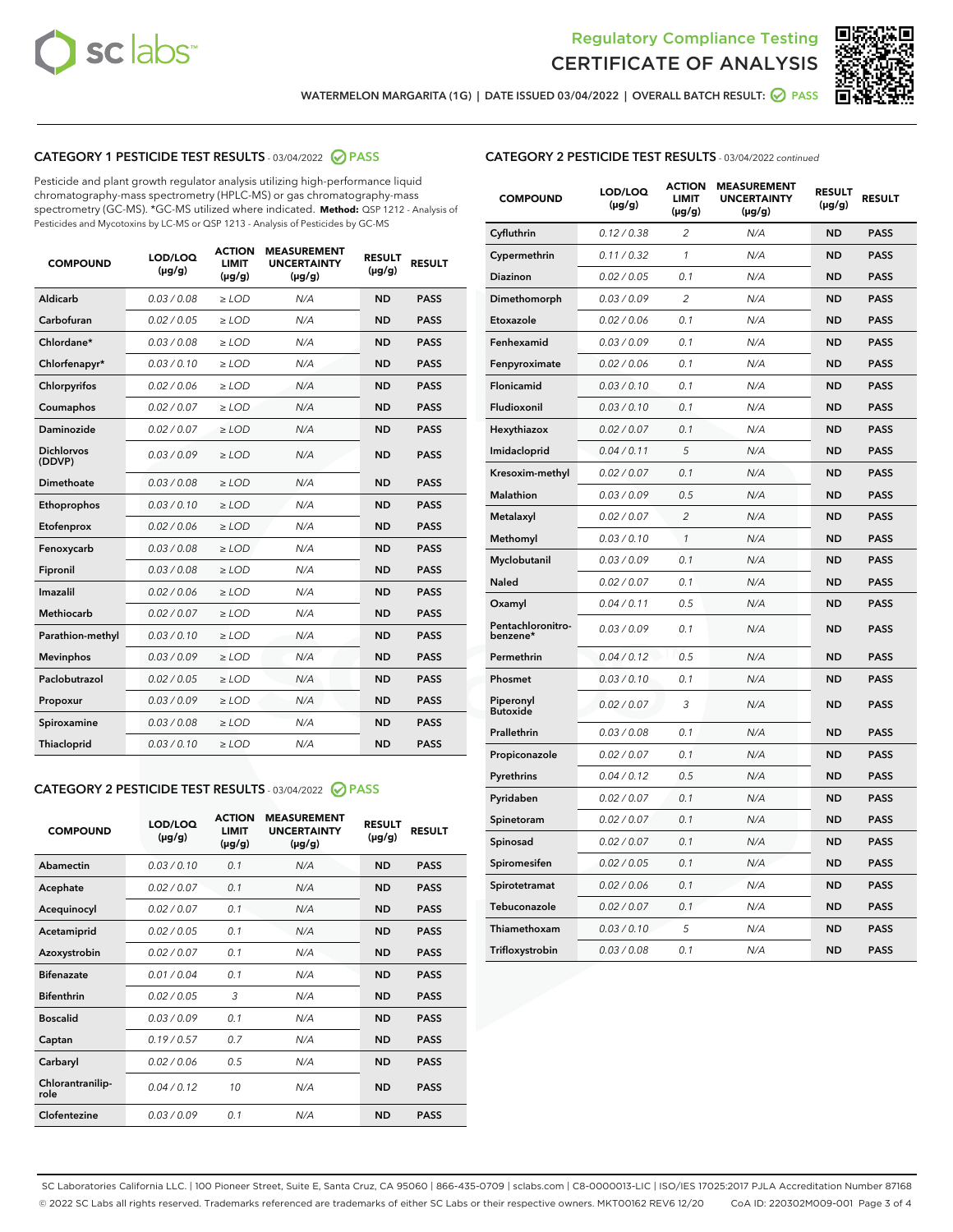



WATERMELON MARGARITA (1G) | DATE ISSUED 03/04/2022 | OVERALL BATCH RESULT: @ PASS

# CATEGORY 1 PESTICIDE TEST RESULTS - 03/04/2022 2 PASS

Pesticide and plant growth regulator analysis utilizing high-performance liquid chromatography-mass spectrometry (HPLC-MS) or gas chromatography-mass spectrometry (GC-MS). \*GC-MS utilized where indicated. **Method:** QSP 1212 - Analysis of Pesticides and Mycotoxins by LC-MS or QSP 1213 - Analysis of Pesticides by GC-MS

| <b>COMPOUND</b>             | LOD/LOQ<br>$(\mu g/g)$ | <b>ACTION</b><br>LIMIT<br>$(\mu g/g)$ | <b>MEASUREMENT</b><br><b>UNCERTAINTY</b><br>$(\mu g/g)$ | <b>RESULT</b><br>$(\mu g/g)$ | <b>RESULT</b> |  |
|-----------------------------|------------------------|---------------------------------------|---------------------------------------------------------|------------------------------|---------------|--|
| Aldicarb                    | 0.03 / 0.08            | $\ge$ LOD                             | N/A                                                     | <b>ND</b>                    | <b>PASS</b>   |  |
| Carbofuran                  | 0.02 / 0.05            | $>$ LOD                               | N/A                                                     | <b>ND</b>                    | <b>PASS</b>   |  |
| Chlordane*                  | 0.03 / 0.08            | $\ge$ LOD                             | N/A                                                     | <b>ND</b>                    | <b>PASS</b>   |  |
| Chlorfenapyr*               | 0.03/0.10              | $\ge$ LOD                             | N/A                                                     | <b>ND</b>                    | <b>PASS</b>   |  |
| Chlorpyrifos                | 0.02/0.06              | $>$ LOD                               | N/A                                                     | <b>ND</b>                    | <b>PASS</b>   |  |
| Coumaphos                   | 0.02 / 0.07            | $\ge$ LOD                             | N/A                                                     | <b>ND</b>                    | <b>PASS</b>   |  |
| Daminozide                  | 0.02 / 0.07            | $\ge$ LOD                             | N/A                                                     | <b>ND</b>                    | <b>PASS</b>   |  |
| <b>Dichlorvos</b><br>(DDVP) | 0.03/0.09              | $\ge$ LOD                             | N/A                                                     | <b>ND</b>                    | <b>PASS</b>   |  |
| Dimethoate                  | 0.03/0.08              | $>$ LOD                               | N/A                                                     | <b>ND</b>                    | <b>PASS</b>   |  |
| Ethoprophos                 | 0.03/0.10              | $\ge$ LOD                             | N/A                                                     | <b>ND</b>                    | <b>PASS</b>   |  |
| Etofenprox                  | 0.02 / 0.06            | $>$ LOD                               | N/A                                                     | <b>ND</b>                    | <b>PASS</b>   |  |
| Fenoxycarb                  | 0.03/0.08              | $>$ LOD                               | N/A                                                     | <b>ND</b>                    | <b>PASS</b>   |  |
| Fipronil                    | 0.03 / 0.08            | $\ge$ LOD                             | N/A                                                     | <b>ND</b>                    | <b>PASS</b>   |  |
| Imazalil                    | 0.02/0.06              | $>$ LOD                               | N/A                                                     | <b>ND</b>                    | <b>PASS</b>   |  |
| <b>Methiocarb</b>           | 0.02 / 0.07            | $\ge$ LOD                             | N/A                                                     | <b>ND</b>                    | <b>PASS</b>   |  |
| Parathion-methyl            | 0.03/0.10              | $\ge$ LOD                             | N/A                                                     | <b>ND</b>                    | <b>PASS</b>   |  |
| <b>Mevinphos</b>            | 0.03/0.09              | $>$ LOD                               | N/A                                                     | <b>ND</b>                    | <b>PASS</b>   |  |
| Paclobutrazol               | 0.02 / 0.05            | $\ge$ LOD                             | N/A                                                     | <b>ND</b>                    | <b>PASS</b>   |  |
| Propoxur                    | 0.03/0.09              | $>$ LOD                               | N/A                                                     | <b>ND</b>                    | <b>PASS</b>   |  |
| Spiroxamine                 | 0.03 / 0.08            | $\ge$ LOD                             | N/A                                                     | <b>ND</b>                    | <b>PASS</b>   |  |
| Thiacloprid                 | 0.03/0.10              | $\ge$ LOD                             | N/A                                                     | <b>ND</b>                    | <b>PASS</b>   |  |
|                             |                        |                                       |                                                         |                              |               |  |

# CATEGORY 2 PESTICIDE TEST RESULTS - 03/04/2022 2 PASS

| <b>COMPOUND</b>          | LOD/LOO<br>$(\mu g/g)$ | <b>ACTION</b><br><b>LIMIT</b><br>(µg/g) | <b>MEASUREMENT</b><br><b>UNCERTAINTY</b><br>$(\mu g/g)$ | <b>RESULT</b><br>$(\mu g/g)$ | <b>RESULT</b> |  |
|--------------------------|------------------------|-----------------------------------------|---------------------------------------------------------|------------------------------|---------------|--|
| Abamectin                | 0.03/0.10              | 0.1                                     | N/A                                                     | <b>ND</b>                    | <b>PASS</b>   |  |
| Acephate                 | 0.02/0.07              | 0.1                                     | N/A                                                     | <b>ND</b>                    | <b>PASS</b>   |  |
| Acequinocyl              | 0.02/0.07              | 0.1                                     | N/A                                                     | <b>ND</b>                    | <b>PASS</b>   |  |
| Acetamiprid              | 0.02/0.05              | 0.1                                     | N/A                                                     | <b>ND</b>                    | <b>PASS</b>   |  |
| Azoxystrobin             | 0.02/0.07              | 0.1                                     | N/A                                                     | <b>ND</b>                    | <b>PASS</b>   |  |
| <b>Bifenazate</b>        | 0.01/0.04              | 0.1                                     | N/A                                                     | <b>ND</b>                    | <b>PASS</b>   |  |
| <b>Bifenthrin</b>        | 0.02/0.05              | 3                                       | N/A                                                     | <b>ND</b>                    | <b>PASS</b>   |  |
| <b>Boscalid</b>          | 0.03/0.09              | 0.1                                     | N/A                                                     | <b>ND</b>                    | <b>PASS</b>   |  |
| Captan                   | 0.19/0.57              | 0.7                                     | N/A                                                     | <b>ND</b>                    | <b>PASS</b>   |  |
| Carbaryl                 | 0.02/0.06              | 0.5                                     | N/A                                                     | <b>ND</b>                    | <b>PASS</b>   |  |
| Chlorantranilip-<br>role | 0.04/0.12              | 10                                      | N/A                                                     | <b>ND</b>                    | <b>PASS</b>   |  |
| Clofentezine             | 0.03/0.09              | 0.1                                     | N/A                                                     | <b>ND</b>                    | <b>PASS</b>   |  |

# CATEGORY 2 PESTICIDE TEST RESULTS - 03/04/2022 continued

| <b>COMPOUND</b>               | LOD/LOQ<br>(µg/g) | <b>ACTION</b><br><b>LIMIT</b><br>(µg/g) | <b>MEASUREMENT</b><br><b>UNCERTAINTY</b><br>$(\mu g/g)$ | <b>RESULT</b><br>(µg/g) | <b>RESULT</b> |
|-------------------------------|-------------------|-----------------------------------------|---------------------------------------------------------|-------------------------|---------------|
| Cyfluthrin                    | 0.12 / 0.38       | $\overline{c}$                          | N/A                                                     | <b>ND</b>               | <b>PASS</b>   |
| Cypermethrin                  | 0.11 / 0.32       | 1                                       | N/A                                                     | <b>ND</b>               | <b>PASS</b>   |
| <b>Diazinon</b>               | 0.02 / 0.05       | 0.1                                     | N/A                                                     | <b>ND</b>               | <b>PASS</b>   |
| Dimethomorph                  | 0.03 / 0.09       | 2                                       | N/A                                                     | <b>ND</b>               | <b>PASS</b>   |
| Etoxazole                     | 0.02 / 0.06       | 0.1                                     | N/A                                                     | <b>ND</b>               | <b>PASS</b>   |
| Fenhexamid                    | 0.03 / 0.09       | 0.1                                     | N/A                                                     | <b>ND</b>               | <b>PASS</b>   |
| Fenpyroximate                 | 0.02 / 0.06       | 0.1                                     | N/A                                                     | <b>ND</b>               | <b>PASS</b>   |
| Flonicamid                    | 0.03 / 0.10       | 0.1                                     | N/A                                                     | <b>ND</b>               | <b>PASS</b>   |
| Fludioxonil                   | 0.03 / 0.10       | 0.1                                     | N/A                                                     | <b>ND</b>               | <b>PASS</b>   |
| Hexythiazox                   | 0.02 / 0.07       | 0.1                                     | N/A                                                     | <b>ND</b>               | <b>PASS</b>   |
| Imidacloprid                  | 0.04 / 0.11       | 5                                       | N/A                                                     | <b>ND</b>               | <b>PASS</b>   |
| Kresoxim-methyl               | 0.02 / 0.07       | 0.1                                     | N/A                                                     | <b>ND</b>               | <b>PASS</b>   |
| Malathion                     | 0.03 / 0.09       | 0.5                                     | N/A                                                     | <b>ND</b>               | <b>PASS</b>   |
| Metalaxyl                     | 0.02 / 0.07       | $\overline{c}$                          | N/A                                                     | <b>ND</b>               | <b>PASS</b>   |
| Methomyl                      | 0.03 / 0.10       | 1                                       | N/A                                                     | <b>ND</b>               | <b>PASS</b>   |
| Myclobutanil                  | 0.03 / 0.09       | 0.1                                     | N/A                                                     | <b>ND</b>               | <b>PASS</b>   |
| Naled                         | 0.02 / 0.07       | 0.1                                     | N/A                                                     | <b>ND</b>               | <b>PASS</b>   |
| Oxamyl                        | 0.04 / 0.11       | 0.5                                     | N/A                                                     | ND                      | <b>PASS</b>   |
| Pentachloronitro-<br>benzene* | 0.03 / 0.09       | 0.1                                     | N/A                                                     | <b>ND</b>               | <b>PASS</b>   |
| Permethrin                    | 0.04 / 0.12       | 0.5                                     | N/A                                                     | <b>ND</b>               | <b>PASS</b>   |
| Phosmet                       | 0.03 / 0.10       | 0.1                                     | N/A                                                     | <b>ND</b>               | <b>PASS</b>   |
| Piperonyl<br><b>Butoxide</b>  | 0.02 / 0.07       | 3                                       | N/A                                                     | <b>ND</b>               | <b>PASS</b>   |
| Prallethrin                   | 0.03 / 0.08       | 0.1                                     | N/A                                                     | <b>ND</b>               | <b>PASS</b>   |
| Propiconazole                 | 0.02 / 0.07       | 0.1                                     | N/A                                                     | <b>ND</b>               | <b>PASS</b>   |
| Pyrethrins                    | 0.04 / 0.12       | 0.5                                     | N/A                                                     | <b>ND</b>               | <b>PASS</b>   |
| Pyridaben                     | 0.02 / 0.07       | 0.1                                     | N/A                                                     | <b>ND</b>               | <b>PASS</b>   |
| Spinetoram                    | 0.02 / 0.07       | 0.1                                     | N/A                                                     | <b>ND</b>               | <b>PASS</b>   |
| Spinosad                      | 0.02 / 0.07       | 0.1                                     | N/A                                                     | <b>ND</b>               | <b>PASS</b>   |
| Spiromesifen                  | 0.02 / 0.05       | 0.1                                     | N/A                                                     | <b>ND</b>               | <b>PASS</b>   |
| Spirotetramat                 | 0.02 / 0.06       | 0.1                                     | N/A                                                     | <b>ND</b>               | <b>PASS</b>   |
| Tebuconazole                  | 0.02 / 0.07       | 0.1                                     | N/A                                                     | <b>ND</b>               | <b>PASS</b>   |
| Thiamethoxam                  | 0.03 / 0.10       | 5                                       | N/A                                                     | <b>ND</b>               | <b>PASS</b>   |
| Trifloxystrobin               | 0.03 / 0.08       | 0.1                                     | N/A                                                     | <b>ND</b>               | <b>PASS</b>   |

SC Laboratories California LLC. | 100 Pioneer Street, Suite E, Santa Cruz, CA 95060 | 866-435-0709 | sclabs.com | C8-0000013-LIC | ISO/IES 17025:2017 PJLA Accreditation Number 87168 © 2022 SC Labs all rights reserved. Trademarks referenced are trademarks of either SC Labs or their respective owners. MKT00162 REV6 12/20 CoA ID: 220302M009-001 Page 3 of 4